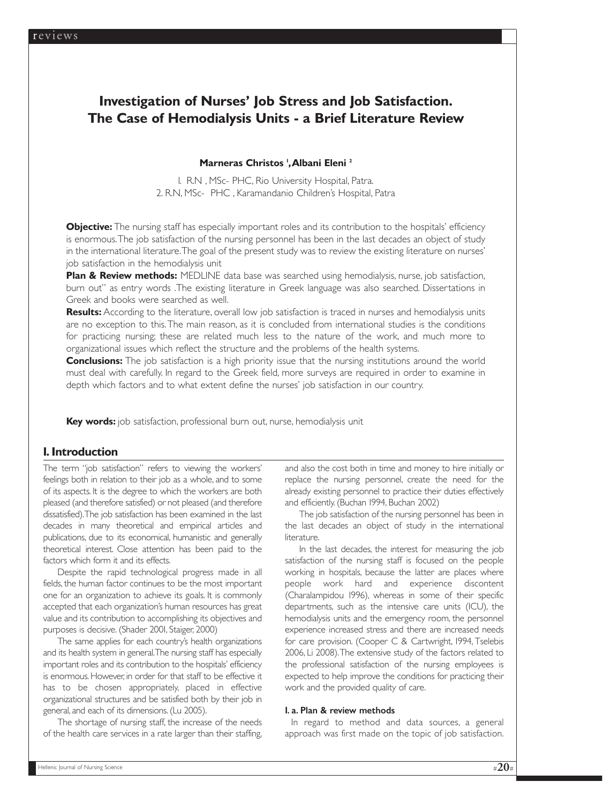# **Investigation of Nurses' Job Stress and Job Satisfaction. The Case of Hemodialysis Units - a Brief Literature Review**

## Marneras Christos<sup>1</sup>, Albani Eleni<sup>2</sup>

1. R.N , MSc- PHC, Rio University Hospital, Patra. 2. R.N, MSc- PHC , Karamandanio Children's Hospital, Patra

**Objective:** The nursing staff has especially important roles and its contribution to the hospitals' efficiency is enormous.The job satisfaction of the nursing personnel has been in the last decades an object of study in the international literature.The goal of the present study was to review the existing literature on nurses' job satisfaction in the hemodialysis unit

**Plan & Review methods:** MEDLINE data base was searched using hemodialysis, nurse, job satisfaction, burn out" as entry words .The existing literature in Greek language was also searched. Dissertations in Greek and books were searched as well.

**Results:** According to the literature, overall low job satisfaction is traced in nurses and hemodialysis units are no exception to this.The main reason, as it is concluded from international studies is the conditions for practicing nursing; these are related much less to the nature of the work, and much more to organizational issues which reflect the structure and the problems of the health systems.

**Conclusions:** The job satisfaction is a high priority issue that the nursing institutions around the world must deal with carefully. In regard to the Greek field, more surveys are required in order to examine in depth which factors and to what extent define the nurses' job satisfaction in our country.

**Key words:** job satisfaction, professional burn out, nurse, hemodialysis unit

# **1. Introduction**

The term "job satisfaction" refers to viewing the workers' feelings both in relation to their job as a whole, and to some of its aspects. It is the degree to which the workers are both pleased (and therefore satisfied) or not pleased (and therefore dissatisfied).The job satisfaction has been examined in the last decades in many theoretical and empirical articles and publications, due to its economical, humanistic and generally theoretical interest. Close attention has been paid to the factors which form it and its effects.

Despite the rapid technological progress made in all fields, the human factor continues to be the most important one for an organization to achieve its goals. It is commonly accepted that each organization's human resources has great value and its contribution to accomplishing its objectives and purposes is decisive. (Shader 2001, Staiger, 2000)

The same applies for each country's health organizations and its health system in general.The nursing staff has especially important roles and its contribution to the hospitals' efficiency is enormous. However, in order for that staff to be effective it has to be chosen appropriately, placed in effective organizational structures and be satisfied both by their job in general, and each of its dimensions. (Lu 2005).

The shortage of nursing staff, the increase of the needs of the health care services in a rate larger than their staffing,

and also the cost both in time and money to hire initially or replace the nursing personnel, create the need for the already existing personnel to practice their duties effectively and efficiently. (Buchan 1994, Buchan 2002)

The job satisfaction of the nursing personnel has been in the last decades an object of study in the international literature.

In the last decades, the interest for measuring the job satisfaction of the nursing staff is focused on the people working in hospitals, because the latter are places where people work hard and experience discontent (Charalampidou 1996), whereas in some of their specific departments, such as the intensive care units (ICU), the hemodialysis units and the emergency room, the personnel experience increased stress and there are increased needs for care provision. (Cooper C & Cartwright, 1994, Tselebis 2006, Li 2008).The extensive study of the factors related to the professional satisfaction of the nursing employees is expected to help improve the conditions for practicing their work and the provided quality of care.

#### 1. a. Plan & review methods

In regard to method and data sources, a general approach was first made on the topic of job satisfaction.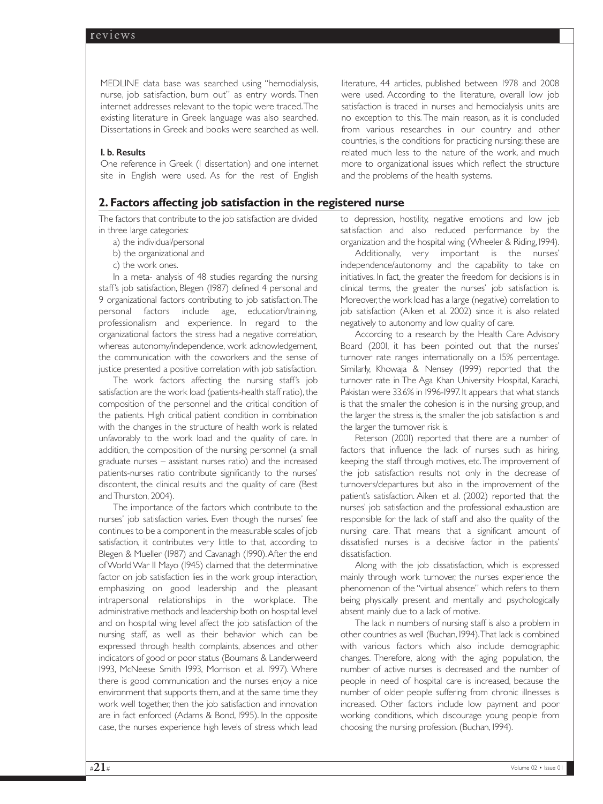MEDLINE data base was searched using "hemodialysis, nurse, job satisfaction, burn out" as entry words. Then internet addresses relevant to the topic were traced.The existing literature in Greek language was also searched. Dissertations in Greek and books were searched as well.

#### 1. b. Results

One reference in Greek (1 dissertation) and one internet site in English were used. As for the rest of English

# **2. Factors affecting job satisfaction in the registered nurse**

The factors that contribute to the job satisfaction are divided in three large categories:

- a) the individual/personal
- b) the organizational and
- c) the work ones.

In a meta- analysis of 48 studies regarding the nursing staff's job satisfaction, Blegen (1987) defined 4 personal and 9 organizational factors contributing to job satisfaction.The personal factors include age, education/training, professionalism and experience. In regard to the organizational factors the stress had a negative correlation, whereas autonomy/independence, work acknowledgement, the communication with the coworkers and the sense of justice presented a positive correlation with job satisfaction.

The work factors affecting the nursing staff's job satisfaction are the work load (patients-health staff ratio), the composition of the personnel and the critical condition of the patients. High critical patient condition in combination with the changes in the structure of health work is related unfavorably to the work load and the quality of care. In addition, the composition of the nursing personnel (a small graduate nurses – assistant nurses ratio) and the increased patients-nurses ratio contribute significantly to the nurses' discontent, the clinical results and the quality of care (Best and Thurston, 2004).

The importance of the factors which contribute to the nurses' job satisfaction varies. Even though the nurses' fee continues to be a component in the measurable scales of job satisfaction, it contributes very little to that, according to Blegen & Mueller (1987) and Cavanagh (1990).After the end of World War II Mayo (1945) claimed that the determinative factor on job satisfaction lies in the work group interaction, emphasizing on good leadership and the pleasant intrapersonal relationships in the workplace. The administrative methods and leadership both on hospital level and on hospital wing level affect the job satisfaction of the nursing staff, as well as their behavior which can be expressed through health complaints, absences and other indicators of good or poor status (Boumans & Landerweerd 1993, McNeese Smith 1993, Morrison et al. 1997). Where there is good communication and the nurses enjoy a nice environment that supports them, and at the same time they work well together, then the job satisfaction and innovation are in fact enforced (Adams & Bond, 1995). In the opposite case, the nurses experience high levels of stress which lead literature, 44 articles, published between 1978 and 2008 were used. According to the literature, overall low job satisfaction is traced in nurses and hemodialysis units are no exception to this. The main reason, as it is concluded from various researches in our country and other countries, is the conditions for practicing nursing; these are related much less to the nature of the work, and much more to organizational issues which reflect the structure and the problems of the health systems.

to depression, hostility, negative emotions and low job satisfaction and also reduced performance by the organization and the hospital wing (Wheeler & Riding, 1994).

Additionally, very important is the nurses' independence/autonomy and the capability to take on initiatives. In fact, the greater the freedom for decisions is in clinical terms, the greater the nurses' job satisfaction is. Moreover,the work load has a large (negative) correlation to job satisfaction (Aiken et al. 2002) since it is also related negatively to autonomy and low quality of care.

According to a research by the Health Care Advisory Board (2001, it has been pointed out that the nurses' turnover rate ranges internationally on a 15% percentage. Similarly, Khowaja & Nensey (1999) reported that the turnover rate in The Aga Khan University Hospital, Karachi, Pakistan were 33.6% in 1996-1997. It appears that what stands is that the smaller the cohesion is in the nursing group, and the larger the stress is, the smaller the job satisfaction is and the larger the turnover risk is.

Peterson (2001) reported that there are a number of factors that influence the lack of nurses such as hiring, keeping the staff through motives, etc.The improvement of the job satisfaction results not only in the decrease of turnovers/departures but also in the improvement of the patient's satisfaction. Aiken et al. (2002) reported that the nurses' job satisfaction and the professional exhaustion are responsible for the lack of staff and also the quality of the nursing care. That means that a significant amount of dissatisfied nurses is a decisive factor in the patients' dissatisfaction.

Along with the job dissatisfaction, which is expressed mainly through work turnover, the nurses experience the phenomenon of the "virtual absence" which refers to them being physically present and mentally and psychologically absent mainly due to a lack of motive.

The lack in numbers of nursing staff is also a problem in other countries as well (Buchan, 1994).That lack is combined with various factors which also include demographic changes. Therefore, along with the aging population, the number of active nurses is decreased and the number of people in need of hospital care is increased, because the number of older people suffering from chronic illnesses is increased. Other factors include low payment and poor working conditions, which discourage young people from choosing the nursing profession. (Buchan, 1994).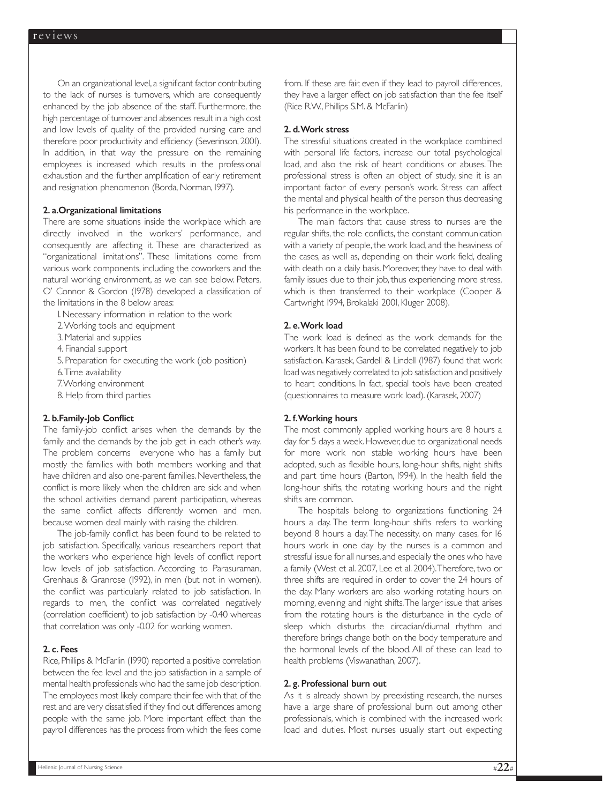On an organizational level,a significant factor contributing to the lack of nurses is turnovers, which are consequently enhanced by the job absence of the staff. Furthermore, the high percentage of turnover and absences result in a high cost and low levels of quality of the provided nursing care and therefore poor productivity and efficiency (Severinson, 2001). In addition, in that way the pressure on the remaining employees is increased which results in the professional exhaustion and the further amplification of early retirement and resignation phenomenon (Borda, Norman, 1997).

## 2. a.Organizational limitations

There are some situations inside the workplace which are directly involved in the workers' performance, and consequently are affecting it. These are characterized as "organizational limitations". These limitations come from various work components, including the coworkers and the natural working environment, as we can see below. Peters, O' Connor & Gordon (1978) developed a classification of the limitations in the 8 below areas:

1. Necessary information in relation to the work

2.Working tools and equipment

3. Material and supplies

4. Financial support

5. Preparation for executing the work (job position)

6.Time availability

7.Working environment

8. Help from third parties

#### 2. b.Family-Job Conflict

The family-job conflict arises when the demands by the family and the demands by the job get in each other's way. The problem concerns everyone who has a family but mostly the families with both members working and that have children and also one-parent families. Nevertheless, the conflict is more likely when the children are sick and when the school activities demand parent participation, whereas the same conflict affects differently women and men, because women deal mainly with raising the children.

The job-family conflict has been found to be related to job satisfaction. Specifically, various researchers report that the workers who experience high levels of conflict report low levels of job satisfaction. According to Parasuraman, Grenhaus & Granrose (1992), in men (but not in women), the conflict was particularly related to job satisfaction. In regards to men, the conflict was correlated negatively (correlation coefficient) to job satisfaction by -0.40 whereas that correlation was only -0.02 for working women.

## 2. c. Fees

Rice,Phillips & McFarlin (1990) reported a positive correlation between the fee level and the job satisfaction in a sample of mental health professionals who had the same job description. The employees most likely compare their fee with that of the rest and are very dissatisfied if they find out differences among people with the same job. More important effect than the payroll differences has the process from which the fees come from. If these are fair, even if they lead to payroll differences, they have a larger effect on job satisfaction than the fee itself (Rice R.W., Phillips S.M. & McFarlin)

#### 2. d.Work stress

The stressful situations created in the workplace combined with personal life factors, increase our total psychological load, and also the risk of heart conditions or abuses. The professional stress is often an object of study, sine it is an important factor of every person's work. Stress can affect the mental and physical health of the person thus decreasing his performance in the workplace.

The main factors that cause stress to nurses are the regular shifts, the role conflicts, the constant communication with a variety of people, the work load, and the heaviness of the cases, as well as, depending on their work field, dealing with death on a daily basis. Moreover, they have to deal with family issues due to their job, thus experiencing more stress, which is then transferred to their workplace (Cooper & Cartwright 1994, Brokalaki 2001, Kluger 2008).

## 2. e.Work load

The work load is defined as the work demands for the workers. It has been found to be correlated negatively to job satisfaction. Karasek, Gardell & Lindell (1987) found that work load was negatively correlated to job satisfaction and positively to heart conditions. In fact, special tools have been created (questionnaires to measure work load). (Karasek, 2007)

## 2. f.Working hours

The most commonly applied working hours are 8 hours a day for 5 days a week. However, due to organizational needs for more work non stable working hours have been adopted, such as flexible hours, long-hour shifts, night shifts and part time hours (Barton, 1994). In the health field the long-hour shifts, the rotating working hours and the night shifts are common.

The hospitals belong to organizations functioning 24 hours a day. The term long-hour shifts refers to working beyond 8 hours a day.The necessity, on many cases, for 16 hours work in one day by the nurses is a common and stressful issue for all nurses,and especially the ones who have a family (West et al. 2007, Lee et al. 2004).Therefore, two or three shifts are required in order to cover the 24 hours of the day. Many workers are also working rotating hours on morning, evening and night shifts.The larger issue that arises from the rotating hours is the disturbance in the cycle of sleep which disturbs the circadian/diurnal rhythm and therefore brings change both on the body temperature and the hormonal levels of the blood. All of these can lead to health problems (Viswanathan, 2007).

#### 2. g. Professional burn out

As it is already shown by preexisting research, the nurses have a large share of professional burn out among other professionals, which is combined with the increased work load and duties. Most nurses usually start out expecting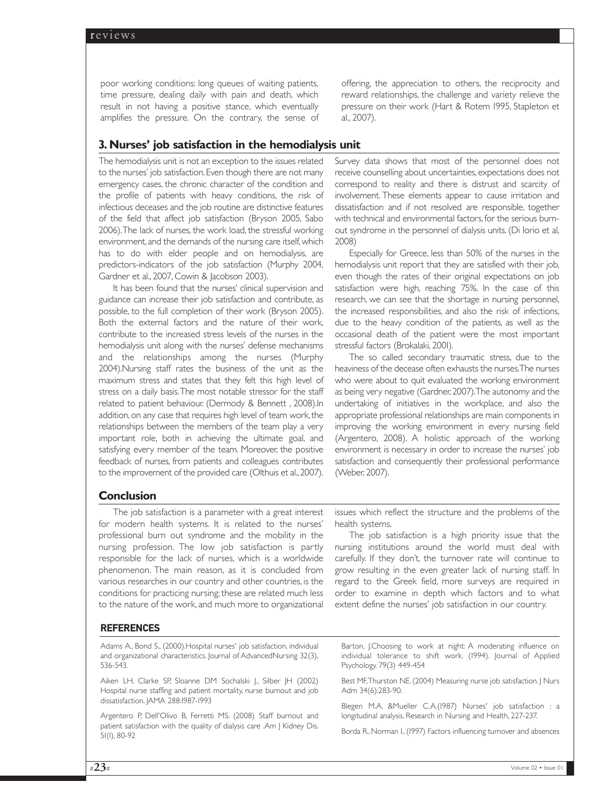poor working conditions: long queues of waiting patients, time pressure, dealing daily with pain and death, which result in not having a positive stance, which eventually amplifies the pressure. On the contrary, the sense of offering, the appreciation to others, the reciprocity and reward relationships, the challenge and variety relieve the pressure on their work (Hart & Rotem 1995, Stapleton et al., 2007).

# **3. Nurses' job satisfaction in the hemodialysis unit**

The hemodialysis unit is not an exception to the issues related to the nurses' job satisfaction. Even though there are not many emergency cases, the chronic character of the condition and the profile of patients with heavy conditions, the risk of infectious deceases and the job routine are distinctive features of the field that affect job satisfaction (Bryson 2005, Sabo 2006).The lack of nurses, the work load, the stressful working environment, and the demands of the nursing care itself, which has to do with elder people and on hemodialysis, are predictors-indicators of the job satisfaction (Murphy 2004, Gardner et al., 2007, Cowin & Jacobson 2003).

It has been found that the nurses' clinical supervision and guidance can increase their job satisfaction and contribute, as possible, to the full completion of their work (Bryson 2005). Both the external factors and the nature of their work, contribute to the increased stress levels of the nurses in the hemodialysis unit along with the nurses' defense mechanisms and the relationships among the nurses (Murphy 2004).Nursing staff rates the business of the unit as the maximum stress and states that they felt this high level of stress on a daily basis.The most notable stressor for the staff related to patient behaviour. (Dermody & Bennett , 2008).In addition,on any case that requires high level of team work, the relationships between the members of the team play a very important role, both in achieving the ultimate goal, and satisfying every member of the team. Moreover, the positive feedback of nurses, from patients and colleagues contributes to the improvement of the provided care (Olthuis et al., 2007).

Survey data shows that most of the personnel does not receive counselling about uncertainties, expectations does not correspond to reality and there is distrust and scarcity of involvement. These elements appear to cause irritation and dissatisfaction and if not resolved are responsible, together with technical and environmental factors, for the serious burnout syndrome in the personnel of dialysis units. (Di Iorio et al, 2008)

Especially for Greece, less than 50% of the nurses in the hemodialysis unit report that they are satisfied with their job, even though the rates of their original expectations on job satisfaction were high, reaching 75%. In the case of this research, we can see that the shortage in nursing personnel, the increased responsibilities, and also the risk of infections, due to the heavy condition of the patients, as well as the occasional death of the patient were the most important stressful factors (Brokalaki, 2001).

The so called secondary traumatic stress, due to the heaviness of the decease often exhausts the nurses.The nurses who were about to quit evaluated the working environment as being very negative (Gardner, 2007).The autonomy and the undertaking of initiatives in the workplace, and also the appropriate professional relationships are main components in improving the working environment in every nursing field (Argentero, 2008). A holistic approach of the working environment is necessary in order to increase the nurses' job satisfaction and consequently their professional performance (Weber, 2007).

# **Conclusion**

The job satisfaction is a parameter with a great interest for modern health systems. It is related to the nurses' professional burn out syndrome and the mobility in the nursing profession. The low job satisfaction is partly responsible for the lack of nurses, which is a worldwide phenomenon. The main reason, as it is concluded from various researches in our country and other countries, is the conditions for practicing nursing; these are related much less to the nature of the work, and much more to organizational issues which reflect the structure and the problems of the health systems.

The job satisfaction is a high priority issue that the nursing institutions around the world must deal with carefully. If they don't, the turnover rate will continue to grow resulting in the even greater lack of nursing staff. In regard to the Greek field, more surveys are required in order to examine in depth which factors and to what extent define the nurses' job satisfaction in our country.

# **REFERENCES**

Adams Α., Bond S., (2000).Hospital nurses' job satisfaction, individual and organizational characteristics. Journal of AdvancedNursing 32(3), 536-543.

Aiken LH, Clarke SP, Sloanne DM Sochalski J., Silber JH (2002) Hospital nurse staffing and patient mortality, nurse burnout and job dissatisfaction. JAMA 288:1987-1993

Argentero P, Dell'Olivo B, Ferretti MS. (2008) Staff burnout and patient satisfaction with the quality of dialysis care .Am J Kidney Dis. 51(1), 80-92

Barton, J.Choosing to work at night: A moderating influence on individual tolerance to shift work. (1994). Journal of Applied Psychology. 79(3) 449-454

Best MF,Thurston NE. (2004) Measuring nurse job satisfaction. J Nurs Adm 34(6):283-90.

Blegen M.A. &Mueller C.A.(1987) Nurses' job satisfaction : a longitudinal analysis. Research in Nursing and Health, 227-237.

Borda R., Norman I., (1997) Factors influencing turnover and absences